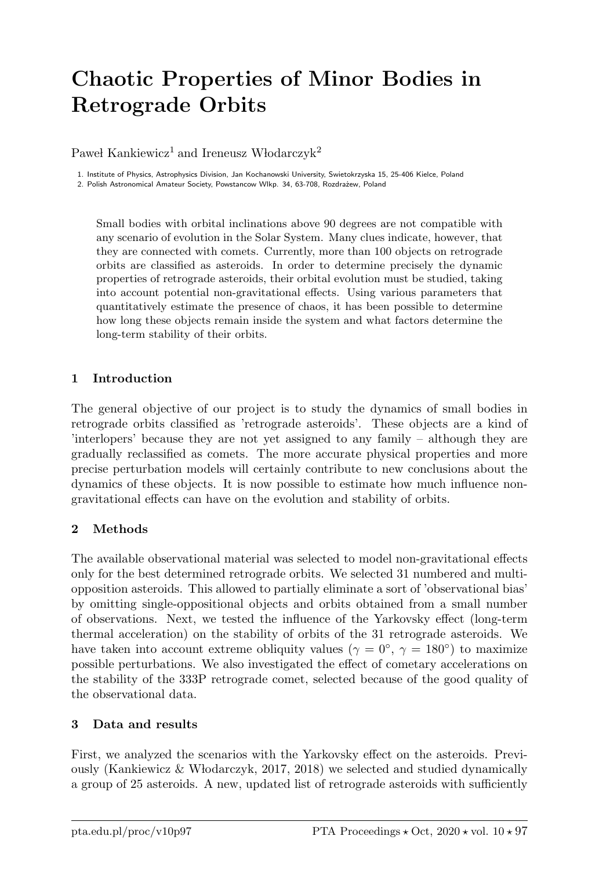# Chaotic Properties of Minor Bodies in Retrograde Orbits

Paweł Kankiewicz<sup>1</sup> and Ireneusz Włodarczyk<sup>2</sup>

1. Institute of Physics, Astrophysics Division, Jan Kochanowski University, Swietokrzyska 15, 25-406 Kielce, Poland 2. Polish Astronomical Amateur Society, Powstancow Wlkp. 34, 63-708, Rozdrażew, Poland

Small bodies with orbital inclinations above 90 degrees are not compatible with any scenario of evolution in the Solar System. Many clues indicate, however, that they are connected with comets. Currently, more than 100 objects on retrograde orbits are classified as asteroids. In order to determine precisely the dynamic properties of retrograde asteroids, their orbital evolution must be studied, taking into account potential non-gravitational effects. Using various parameters that quantitatively estimate the presence of chaos, it has been possible to determine how long these objects remain inside the system and what factors determine the long-term stability of their orbits.

#### 1 Introduction

The general objective of our project is to study the dynamics of small bodies in retrograde orbits classified as 'retrograde asteroids'. These objects are a kind of 'interlopers' because they are not yet assigned to any family – although they are gradually reclassified as comets. The more accurate physical properties and more precise perturbation models will certainly contribute to new conclusions about the dynamics of these objects. It is now possible to estimate how much influence nongravitational effects can have on the evolution and stability of orbits.

## 2 Methods

The available observational material was selected to model non-gravitational effects only for the best determined retrograde orbits. We selected 31 numbered and multiopposition asteroids. This allowed to partially eliminate a sort of 'observational bias' by omitting single-oppositional objects and orbits obtained from a small number of observations. Next, we tested the influence of the Yarkovsky effect (long-term thermal acceleration) on the stability of orbits of the 31 retrograde asteroids. We have taken into account extreme obliquity values ( $\gamma = 0^{\circ}$ ,  $\gamma = 180^{\circ}$ ) to maximize possible perturbations. We also investigated the effect of cometary accelerations on the stability of the 333P retrograde comet, selected because of the good quality of the observational data.

## 3 Data and results

First, we analyzed the scenarios with the Yarkovsky effect on the asteroids. Previously (Kankiewicz  $\&$  Włodarczyk, 2017, 2018) we selected and studied dynamically a group of 25 asteroids. A new, updated list of retrograde asteroids with sufficiently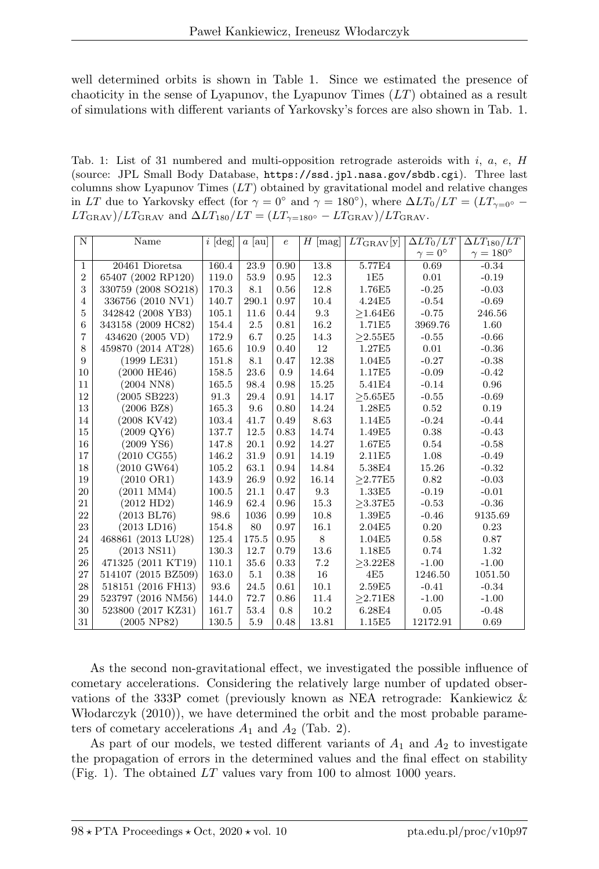well determined orbits is shown in Table 1. Since we estimated the presence of chaoticity in the sense of Lyapunov, the Lyapunov Times  $(LT)$  obtained as a result of simulations with different variants of Yarkovsky's forces are also shown in Tab. 1.

Tab. 1: List of 31 numbered and multi-opposition retrograde asteroids with i, a, e,  $H$ (source: JPL Small Body Database, https://ssd.jpl.nasa.gov/sbdb.cgi). Three last columns show Lyapunov Times  $(L)$  obtained by gravitational model and relative changes in LT due to Yarkovsky effect (for  $\gamma = 0^{\circ}$  and  $\gamma = 180^{\circ}$ ), where  $\Delta LT_0/LT = (LT_{\gamma=0^{\circ}} LT_{\text{GRAV}}/LT_{\text{GRAV}}$  and  $\Delta LT_{180}/LT = (LT_{\gamma=180^{\circ}} - LT_{\text{GRAV}})/LT_{\text{GRAV}}$ .

| N              | Name                  | $i$ [deg] | $a$   au | $\epsilon$ | $H$ [mag] | $LT_{\rm GRAV}$ [y] | $\Delta LT_0/LT$   | $\Delta LT_{180}/LT$ |
|----------------|-----------------------|-----------|----------|------------|-----------|---------------------|--------------------|----------------------|
|                |                       |           |          |            |           |                     | $\gamma=0^{\circ}$ | $\gamma=180^\circ$   |
| $\mathbf{1}$   | 20461 Dioretsa        | 160.4     | 23.9     | 0.90       | 13.8      | 5.77E4              | 0.69               | $-0.34$              |
| $\overline{2}$ | 65407 (2002 RP120)    | 119.0     | 53.9     | 0.95       | 12.3      | 1E5                 | 0.01               | $-0.19$              |
| 3              | 330759 (2008 SO218)   | 170.3     | 8.1      | 0.56       | 12.8      | 1.76E5              | $-0.25$            | $-0.03$              |
| $\overline{4}$ | 336756 (2010 NV1)     | 140.7     | 290.1    | 0.97       | 10.4      | 4.24E5              | $-0.54$            | $-0.69$              |
| 5              | 342842 (2008 YB3)     | 105.1     | 11.6     | 0.44       | 9.3       | >1.64E6             | $-0.75$            | 246.56               |
| 6              | 343158 (2009 HC82)    | 154.4     | 2.5      | 0.81       | 16.2      | 1.71E5              | 3969.76            | 1.60                 |
| $\overline{7}$ | 434620 (2005 VD)      | 172.9     | 6.7      | 0.25       | 14.3      | >2.55E5             | $-0.55$            | $-0.66$              |
| 8              | 459870 (2014 AT28)    | 165.6     | 10.9     | 0.40       | 12        | 1.27E5              | 0.01               | $-0.36$              |
| 9              | $(1999$ LE31)         | 151.8     | 8.1      | 0.47       | 12.38     | 1.04E5              | $-0.27$            | $-0.38$              |
| 10             | $(2000 \text{ HE}46)$ | 158.5     | 23.6     | 0.9        | 14.64     | 1.17E5              | $-0.09$            | $-0.42$              |
| 11             | $(2004 \text{ NN}8)$  | 165.5     | 98.4     | 0.98       | 15.25     | 5.41E4              | $-0.14$            | 0.96                 |
| 12             | $(2005$ SB223)        | 91.3      | 29.4     | 0.91       | 14.17     | >5.65E5             | $-0.55$            | $-0.69$              |
| 13             | $(2006 \text{ BZ8})$  | 165.3     | 9.6      | 0.80       | 14.24     | 1.28E5              | 0.52               | 0.19                 |
| 14             | $(2008$ KV42)         | 103.4     | 41.7     | 0.49       | 8.63      | 1.14E5              | $-0.24$            | $-0.44$              |
| 15             | $(2009 \text{ QY6})$  | 137.7     | 12.5     | 0.83       | 14.74     | 1.49E5              | 0.38               | $-0.43$              |
| 16             | $(2009 \text{ YS}6)$  | 147.8     | 20.1     | 0.92       | 14.27     | 1.67E5              | 0.54               | $-0.58$              |
| 17             | $(2010 \text{ CG}55)$ | 146.2     | 31.9     | 0.91       | 14.19     | 2.11E5              | 1.08               | $-0.49$              |
| 18             | $(2010 \text{ GW}64)$ | 105.2     | 63.1     | 0.94       | 14.84     | 5.38E4              | 15.26              | $-0.32$              |
| 19             | $(2010 \text{ OR}1)$  | 143.9     | 26.9     | 0.92       | 16.14     | >2.77E5             | 0.82               | $-0.03$              |
| 20             | $(2011$ MM4)          | 100.5     | 21.1     | 0.47       | 9.3       | 1.33E5              | $-0.19$            | $-0.01$              |
| 21             | (2012 HD2)            | 146.9     | 62.4     | 0.96       | 15.3      | >3.37E5             | $-0.53$            | $-0.36$              |
| 22             | $(2013 \text{ BL}76)$ | 98.6      | 1036     | 0.99       | 10.8      | 1.39E5              | $-0.46$            | 9135.69              |
| 23             | $(2013$ LD16)         | 154.8     | 80       | 0.97       | 16.1      | 2.04E5              | 0.20               | 0.23                 |
| 24             | 468861 (2013 LU28)    | 125.4     | 175.5    | 0.95       | 8         | 1.04E5              | 0.58               | 0.87                 |
| 25             | $(2013$ NS11)         | 130.3     | 12.7     | 0.79       | 13.6      | 1.18E5              | 0.74               | 1.32                 |
| 26             | 471325 (2011 KT19)    | 110.1     | 35.6     | 0.33       | 7.2       | >3.22E8             | $-1.00$            | $-1.00$              |
| 27             | 514107 (2015 BZ509)   | 163.0     | 5.1      | 0.38       | 16        | 4E5                 | 1246.50            | 1051.50              |
| 28             | 518151 (2016 FH13)    | 93.6      | 24.5     | 0.61       | 10.1      | 2.59E5              | $-0.41$            | $-0.34$              |
| 29             | 523797 (2016 NM56)    | 144.0     | 72.7     | 0.86       | 11.4      | >2.71E8             | $-1.00$            | $-1.00$              |
| 30             | 523800 (2017 KZ31)    | 161.7     | 53.4     | 0.8        | 10.2      | 6.28E4              | 0.05               | $-0.48$              |
| 31             | $(2005 \; NP82)$      | 130.5     | 5.9      | 0.48       | 13.81     | 1.15E5              | 12172.91           | 0.69                 |

As the second non-gravitational effect, we investigated the possible influence of cometary accelerations. Considering the relatively large number of updated observations of the 333P comet (previously known as NEA retrograde: Kankiewicz & Whodarczyk (2010)), we have determined the orbit and the most probable parameters of cometary accelerations  $A_1$  and  $A_2$  (Tab. 2).

As part of our models, we tested different variants of  $A_1$  and  $A_2$  to investigate the propagation of errors in the determined values and the final effect on stability (Fig. 1). The obtained  $LT$  values vary from 100 to almost 1000 years.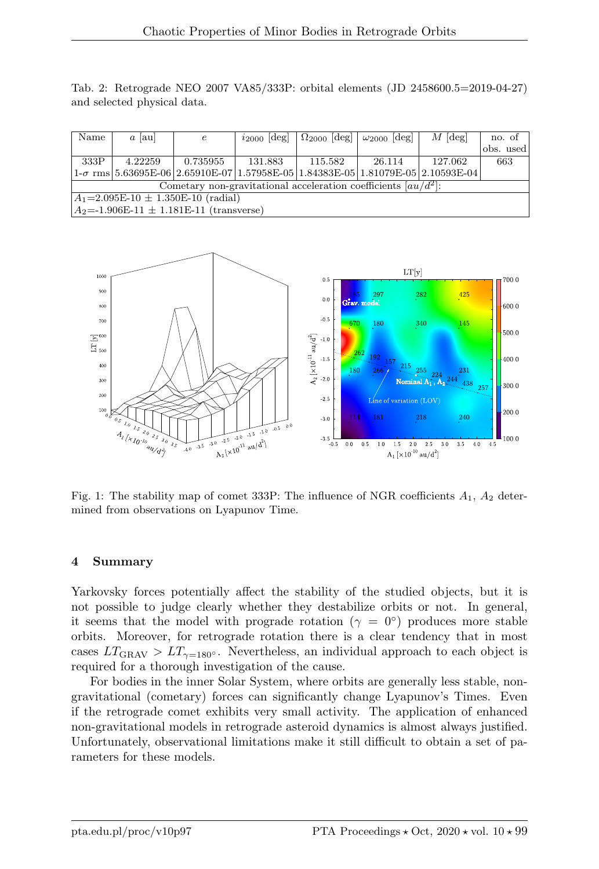Tab. 2: Retrograde NEO 2007 VA85/333P: orbital elements (JD 2458600.5=2019-04-27) and selected physical data.

| Name                                                              | $a$   au | $\epsilon$ | $i_{2000}$ [deg]                                                                         | $\Omega_{2000}$ [deg] $\omega_{2000}$ [deg] |        | $M$ [deg] | no. of    |  |  |  |  |
|-------------------------------------------------------------------|----------|------------|------------------------------------------------------------------------------------------|---------------------------------------------|--------|-----------|-----------|--|--|--|--|
|                                                                   |          |            |                                                                                          |                                             |        |           | obs. used |  |  |  |  |
| 333P                                                              | 4.22259  | 0.735955   | 131.883                                                                                  | 115.582                                     | 26.114 | 127.062   | 663       |  |  |  |  |
|                                                                   |          |            | $1-\sigma$ rms $5.63695E-06$ 2.65910E-07 1.57958E-05 1.84383E-05 1.81079E-05 2.10593E-04 |                                             |        |           |           |  |  |  |  |
| Cometary non-gravitational acceleration coefficients $[au/d^2]$ : |          |            |                                                                                          |                                             |        |           |           |  |  |  |  |
| $ A_1=2.095E-10 \pm 1.350E-10$ (radial)                           |          |            |                                                                                          |                                             |        |           |           |  |  |  |  |
| $A_2 = -1.906E - 11 \pm 1.181E - 11$ (transverse)                 |          |            |                                                                                          |                                             |        |           |           |  |  |  |  |



Fig. 1: The stability map of comet 333P: The influence of NGR coefficients  $A_1$ ,  $A_2$  determined from observations on Lyapunov Time.

#### 4 Summary

Yarkovsky forces potentially affect the stability of the studied objects, but it is not possible to judge clearly whether they destabilize orbits or not. In general, it seems that the model with prograde rotation ( $\gamma = 0^{\circ}$ ) produces more stable orbits. Moreover, for retrograde rotation there is a clear tendency that in most cases  $LT_{\text{GRAV}} > LT_{\gamma=180^\circ}$ . Nevertheless, an individual approach to each object is required for a thorough investigation of the cause.

For bodies in the inner Solar System, where orbits are generally less stable, nongravitational (cometary) forces can significantly change Lyapunov's Times. Even if the retrograde comet exhibits very small activity. The application of enhanced non-gravitational models in retrograde asteroid dynamics is almost always justified. Unfortunately, observational limitations make it still difficult to obtain a set of parameters for these models.